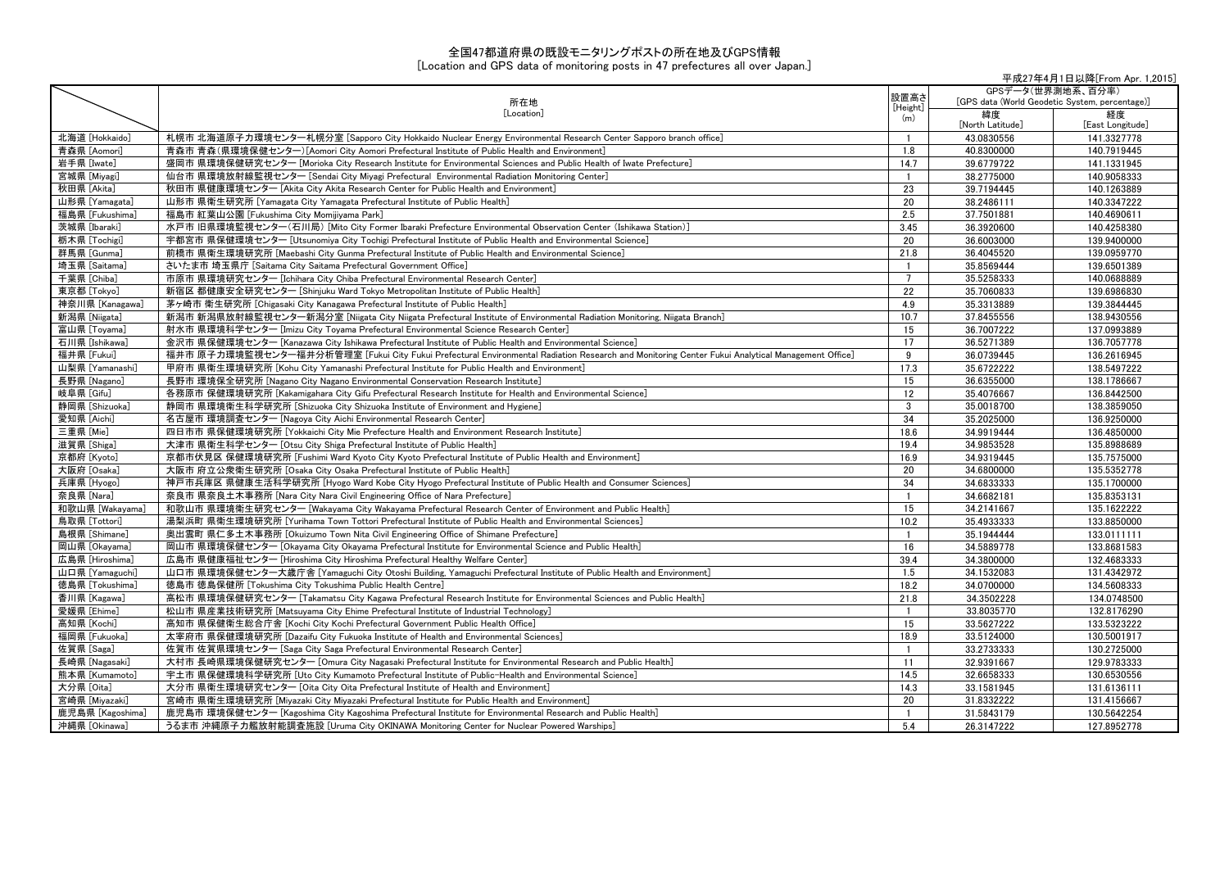## 全国47都道府県の既設モニタリングポストの所在地及びGPS情報

## [Location and GPS data of monitoring posts in 47 prefectures all over Japan.]

|                  | 平成27年4月1日以降[From Apr. 1,2015]                                                                                                                   |                 |                                                                     |                        |
|------------------|-------------------------------------------------------------------------------------------------------------------------------------------------|-----------------|---------------------------------------------------------------------|------------------------|
|                  | 所在地                                                                                                                                             | 設置高さ            | GPSデータ(世界測地系、百分率)<br>[GPS data (World Geodetic System, percentage)] |                        |
|                  | [Location]                                                                                                                                      | [Height]<br>(m) | 緯度<br>[North Latitude]                                              | 経度<br>[East Longitude] |
| 北海道 [Hokkaido]   | 札幌市 北海道原子力環境センター札幌分室 [Sapporo City Hokkaido Nuclear Energy Environmental Research Center Sapporo branch office]                                 | $\overline{1}$  | 43.0830556                                                          | 141.3327778            |
| 青森県 [Aomori]     | 青森市 青森(県環境保健センター)[Aomori City Aomori Prefectural Institute of Public Health and Environment]                                                    | 1.8             | 40.8300000                                                          | 140.7919445            |
| 岩手県 [Iwate]      | 盛岡市 県環境保健研究センター [Morioka City Research Institute for Environmental Sciences and Public Health of Iwate Prefecture]                              | 14.7            | 39.6779722                                                          | 141.1331945            |
| 宮城県 [Miyagi]     | 仙台市 県環境放射線監視センター [Sendai City Miyagi Prefectural Environmental Radiation Monitoring Center]                                                     | $\overline{1}$  | 38.2775000                                                          | 140.9058333            |
| 秋田県 [Akita]      | 秋田市 県健康環境センター [Akita City Akita Research Center for Public Health and Environment]                                                              | 23              | 39.7194445                                                          | 140.1263889            |
| 山形県 [Yamagata]   | 山形市 県衛生研究所 [Yamagata City Yamagata Prefectural Institute of Public Health]                                                                      | 20              | 38.2486111                                                          | 140.3347222            |
| 福島県 [Fukushima]  | 福島市 紅葉山公園 [Fukushima City Momijiyama Park]                                                                                                      | 2.5             | 37.7501881                                                          | 140.4690611            |
| 茨城県「Ibarakil     | 水戸市 旧県環境監視センター(石川局) [Mito City Former Ibaraki Prefecture Environmental Observation Center (Ishikawa Station)]                                   | 3.45            | 36.3920600                                                          | 140.4258380            |
| 栃木県 [Tochigi]    | 宇都宮市 県保健環境センター [Utsunomiya City Tochigi Prefectural Institute of Public Health and Environmental Science]                                       | 20              | 36.6003000                                                          | 139.9400000            |
| 群馬県 [Gunma]      | 前橋市 県衛生環境研究所 [Maebashi City Gunma Prefectural Institute of Public Health and Environmental Science]                                             | 21.8            | 36.4045520                                                          | 139.0959770            |
| 埼玉県 [Saitama]    | さいたま市 埼玉県庁 [Saitama City Saitama Prefectural Government Office]                                                                                 | $\overline{1}$  | 35.8569444                                                          | 139.6501389            |
| 千葉県 [Chiba]      | 市原市 県環境研究センター [Ichihara City Chiba Prefectural Environmental Research Center]                                                                   | $\overline{7}$  | 35.5258333                                                          | 140.0688889            |
| 東京都 [Tokyo]      | 新宿区 都健康安全研究センター [Shinjuku Ward Tokyo Metropolitan Institute of Public Health]                                                                   | 22              | 35.7060833                                                          | 139.6986830            |
| 神奈川県 [Kanagawa]  | 茅ヶ崎市 衛生研究所 [Chigasaki City Kanagawa Prefectural Institute of Public Health]                                                                     | 4.9             | 35.3313889                                                          | 139.3844445            |
| 新潟県 [Niigata]    | 新潟市 新潟県放射線監視センター新潟分室 [Niigata City Niigata Prefectural Institute of Environmental Radiation Monitoring, Niigata Branch]                         | 10.7            | 37.8455556                                                          | 138.9430556            |
| 富山県 [Toyama]     | 射水市 県環境科学センター [Imizu City Toyama Prefectural Environmental Science Research Center]                                                             | 15              | 36.7007222                                                          | 137.0993889            |
| 石川県 [Ishikawa]   | 金沢市 県保健環境センター [Kanazawa City Ishikawa Prefectural Institute of Public Health and Environmental Science]                                         | 17              | 36.5271389                                                          | 136.7057778            |
| 福井県 [Fukui]      | 福井市 原子力環境監視センター福井分析管理室 [Fukui City Fukui Prefectural Environmental Radiation Research and Monitoring Center Fukui Analytical Management Office] | 9               | 36.0739445                                                          | 136.2616945            |
| 山梨県 [Yamanashi]  | 甲府市 県衛生環境研究所 [Kohu City Yamanashi Prefectural Institute for Public Health and Environment]                                                      | 17.3            | 35.6722222                                                          | 138.5497222            |
| 長野県 [Nagano]     | 長野市 環境保全研究所 [Nagano City Nagano Environmental Conservation Research Institute]                                                                  | 15              | 36.6355000                                                          | 138.1786667            |
| 岐阜県 [Gifu]       | 各務原市 保健環境研究所 [Kakamigahara City Gifu Prefectural Research Institute for Health and Environmental Science]                                       | 12              | 35.4076667                                                          | 136.8442500            |
| 静岡県 [Shizuoka]   | 静岡市 県環境衛生科学研究所 [Shizuoka City Shizuoka Institute of Environment and Hygiene]                                                                    | 3               | 35.0018700                                                          | 138.3859050            |
| 愛知県 [Aichi]      | 名古屋市 環境調査センター [Nagoya City Aichi Environmental Research Center]                                                                                 | 34              | 35.2025000                                                          | 136.9250000            |
| 三重県 [Mie]        | 四日市市 県保健環境研究所 [Yokkaichi City Mie Prefecture Health and Environment Research Institute]                                                         | 18.6            | 34.9919444                                                          | 136.4850000            |
| 滋賀県 [Shiga]      | 大津市 県衛生科学センター [Otsu Citv Shiga Prefectural Institute of Public Health]                                                                          | 19.4            | 34.9853528                                                          | 135.8988689            |
| 京都府 [Kyoto]      | 京都市伏見区 保健環境研究所 [Fushimi Ward Kyoto City Kyoto Prefectural Institute of Public Health and Environment]                                           | 16.9            | 34.9319445                                                          | 135.7575000            |
| 大阪府 [Osaka]      | 大阪市 府立公衆衛生研究所 [Osaka City Osaka Prefectural Institute of Public Health]                                                                         | 20              | 34.6800000                                                          | 135.5352778            |
| 兵庫県 [Hyogo]      | 神戸市兵庫区 県健康生活科学研究所 [Hyogo Ward Kobe City Hyogo Prefectural Institute of Public Health and Consumer Sciences]                                     | 34              | 34.6833333                                                          | 135.1700000            |
| 奈良県 [Nara]       | 奈良市 県奈良土木事務所 [Nara City Nara Civil Engineering Office of Nara Prefecture]                                                                       | $\overline{1}$  | 34.6682181                                                          | 135.8353131            |
| 和歌山県 [Wakayama]  | 和歌山市 県環境衛生研究センター [Wakayama City Wakayama Prefectural Research Center of Environment and Public Health]                                          | 15              | 34.2141667                                                          | 135.1622222            |
| 鳥取県 [Tottori]    | 湯梨浜町 県衛生環境研究所 [Yurihama Town Tottori Prefectural Institute of Public Health and Environmental Sciences]                                         | 10.2            | 35.4933333                                                          | 133.8850000            |
| 島根県 [Shimane]    | 奥出雲町 県仁多土木事務所 [Okuizumo Town Nita Civil Engineering Office of Shimane Prefecture]                                                               | $\overline{1}$  | 35.1944444                                                          | 133.0111111            |
| 岡山県 [Okayama]    | 岡山市 県環境保健センター [Okayama City Okayama Prefectural Institute for Environmental Science and Public Health]                                          | 16              | 34.5889778                                                          | 133.8681583            |
| 広島県 [Hiroshima]  | 広島市 県健康福祉センター [Hiroshima City Hiroshima Prefectural Healthy Welfare Center]                                                                     | 39.4            | 34.3800000                                                          | 132.4683333            |
| 山口県 [Yamaguchi]  | 山口市 県環境保健センター大歳庁舎 [Yamaguchi City Otoshi Building, Yamaguchi Prefectural Institute of Public Health and Environment]                            | 1.5             | 34.1532083                                                          | 131.4342972            |
| 徳島県 [Tokushima]  | 徳島市 徳島保健所 [Tokushima City Tokushima Public Health Centre]                                                                                       | 18.2            | 34.0700000                                                          | 134.5608333            |
| 香川県 [Kagawa]     | 高松市 県環境保健研究センター [Takamatsu City Kagawa Prefectural Research Institute for Environmental Sciences and Public Health]                             | 21.8            | 34.3502228                                                          | 134.0748500            |
| 愛媛県 [Ehime]      | 松山市 県産業技術研究所 [Matsuyama City Ehime Prefectural Institute of Industrial Technology]                                                              | $\mathbf{1}$    | 33.8035770                                                          | 132.8176290            |
| 高知県 [Kochi]      | 高知市 県保健衛生総合庁舎 [Kochi City Kochi Prefectural Government Public Health Office]                                                                    | 15              | 33.5627222                                                          | 133.5323222            |
| 福岡県 [Fukuoka]    | 太宰府市 県保健環境研究所 [Dazaifu City Fukuoka Institute of Health and Environmental Sciences]                                                             | 18.9            | 33.5124000                                                          | 130.5001917            |
| 佐賀県 [Saga]       | 佐賀市 佐賀県環境センター [Saga City Saga Prefectural Environmental Research Center]                                                                        | $\overline{1}$  | 33.2733333                                                          | 130.2725000            |
| 長崎県 [Nagasaki]   | 大村市 長崎県環境保健研究センター [Omura City Nagasaki Prefectural Institute for Environmental Research and Public Health]                                      | 11              | 32.9391667                                                          | 129.9783333            |
| 熊本県 [Kumamoto]   | 宇土市 県保健環境科学研究所 [Uto City Kumamoto Prefectural Institute of Public-Health and Environmental Science]                                             | 14.5            | 32.6658333                                                          | 130.6530556            |
| 大分県 [Oita]       | 大分市 県衛生環境研究センター [Oita City Oita Prefectural Institute of Health and Environment]                                                                | 14.3            | 33.1581945                                                          | 131.6136111            |
| 宮崎県 [Miyazaki]   | 宮崎市 県衛生環境研究所 [Miyazaki City Miyazaki Prefectural Institute for Public Health and Environment]                                                   | 20              | 31.8332222                                                          | 131.4156667            |
| 鹿児島県 [Kagoshima] | 鹿児島市 環境保健センター [Kagoshima City Kagoshima Prefectural Institute for Environmental Research and Public Health]                                     | $\overline{1}$  | 31.5843179                                                          | 130.5642254            |
| 沖縄県 [Okinawa]    | うるま市 沖縄原子力艦放射能調査施設 [Uruma City OKINAWA Monitoring Center for Nuclear Powered Warships]                                                          | 5.4             | 26.3147222                                                          | 127.8952778            |